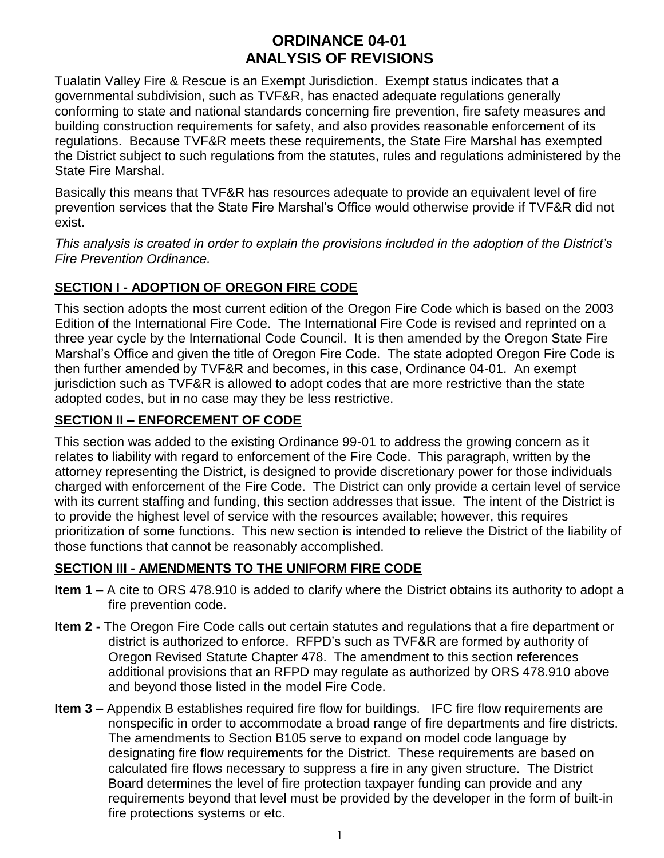# **ORDINANCE 04-01 ANALYSIS OF REVISIONS**

Tualatin Valley Fire & Rescue is an Exempt Jurisdiction. Exempt status indicates that a governmental subdivision, such as TVF&R, has enacted adequate regulations generally conforming to state and national standards concerning fire prevention, fire safety measures and building construction requirements for safety, and also provides reasonable enforcement of its regulations. Because TVF&R meets these requirements, the State Fire Marshal has exempted the District subject to such regulations from the statutes, rules and regulations administered by the State Fire Marshal.

Basically this means that TVF&R has resources adequate to provide an equivalent level of fire prevention services that the State Fire Marshal's Office would otherwise provide if TVF&R did not exist.

*This analysis is created in order to explain the provisions included in the adoption of the District's Fire Prevention Ordinance.*

# **SECTION I - ADOPTION OF OREGON FIRE CODE**

This section adopts the most current edition of the Oregon Fire Code which is based on the 2003 Edition of the International Fire Code. The International Fire Code is revised and reprinted on a three year cycle by the International Code Council. It is then amended by the Oregon State Fire Marshal's Office and given the title of Oregon Fire Code. The state adopted Oregon Fire Code is then further amended by TVF&R and becomes, in this case, Ordinance 04-01. An exempt jurisdiction such as TVF&R is allowed to adopt codes that are more restrictive than the state adopted codes, but in no case may they be less restrictive.

## **SECTION II – ENFORCEMENT OF CODE**

This section was added to the existing Ordinance 99-01 to address the growing concern as it relates to liability with regard to enforcement of the Fire Code. This paragraph, written by the attorney representing the District, is designed to provide discretionary power for those individuals charged with enforcement of the Fire Code. The District can only provide a certain level of service with its current staffing and funding, this section addresses that issue. The intent of the District is to provide the highest level of service with the resources available; however, this requires prioritization of some functions. This new section is intended to relieve the District of the liability of those functions that cannot be reasonably accomplished.

# **SECTION III - AMENDMENTS TO THE UNIFORM FIRE CODE**

- **Item 1 –** A cite to ORS 478.910 is added to clarify where the District obtains its authority to adopt a fire prevention code.
- **Item 2 -** The Oregon Fire Code calls out certain statutes and regulations that a fire department or district is authorized to enforce. RFPD's such as TVF&R are formed by authority of Oregon Revised Statute Chapter 478. The amendment to this section references additional provisions that an RFPD may regulate as authorized by ORS 478.910 above and beyond those listed in the model Fire Code.
- **Item 3 –** Appendix B establishes required fire flow for buildings. IFC fire flow requirements are nonspecific in order to accommodate a broad range of fire departments and fire districts. The amendments to Section B105 serve to expand on model code language by designating fire flow requirements for the District. These requirements are based on calculated fire flows necessary to suppress a fire in any given structure. The District Board determines the level of fire protection taxpayer funding can provide and any requirements beyond that level must be provided by the developer in the form of built-in fire protections systems or etc.